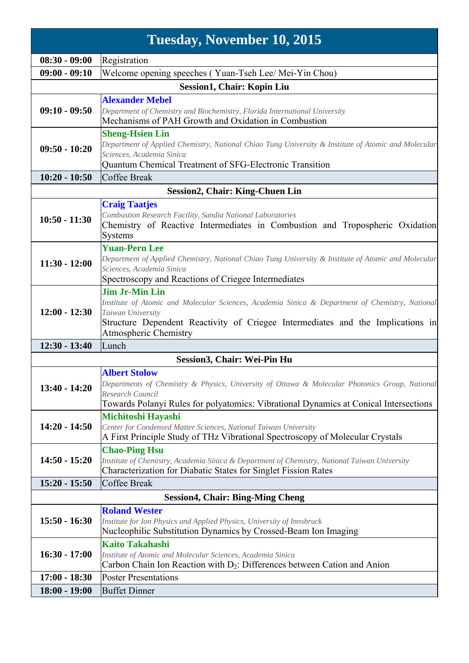| Tuesday, November 10, 2015              |                                                                                                                                                                                                                                                           |  |
|-----------------------------------------|-----------------------------------------------------------------------------------------------------------------------------------------------------------------------------------------------------------------------------------------------------------|--|
| $08:30 - 09:00$                         | Registration                                                                                                                                                                                                                                              |  |
| $09:00 - 09:10$                         | Welcome opening speeches (Yuan-Tseh Lee/Mei-Yin Chou)                                                                                                                                                                                                     |  |
| <b>Session1, Chair: Kopin Liu</b>       |                                                                                                                                                                                                                                                           |  |
| <b>Alexander Mebel</b>                  |                                                                                                                                                                                                                                                           |  |
| $09:10 - 09:50$                         | Department of Chemistry and Biochemistry, Florida International University<br>Mechanisms of PAH Growth and Oxidation in Combustion                                                                                                                        |  |
| $09:50 - 10:20$                         | <b>Sheng-Hsien Lin</b><br>Department of Applied Chemistry, National Chiao Tung University & Institute of Atomic and Molecular<br>Sciences, Academia Sinica                                                                                                |  |
| $10:20 - 10:50$                         | Quantum Chemical Treatment of SFG-Electronic Transition<br>Coffee Break                                                                                                                                                                                   |  |
|                                         |                                                                                                                                                                                                                                                           |  |
| <b>Session2, Chair: King-Chuen Lin</b>  |                                                                                                                                                                                                                                                           |  |
| $10:50 - 11:30$                         | <b>Craig Taatjes</b><br>Combustion Research Facility, Sandia National Laboratories<br>Chemistry of Reactive Intermediates in Combustion and Tropospheric Oxidation<br>Systems                                                                             |  |
| $11:30 - 12:00$                         | <b>Yuan-Pern Lee</b><br>Department of Applied Chemistry, National Chiao Tung University & Institute of Atomic and Molecular<br>Sciences, Academia Sinica<br>Spectroscopy and Reactions of Criegee Intermediates                                           |  |
| $12:00 - 12:30$                         | <b>Jim Jr-Min Lin</b><br>Institute of Atomic and Molecular Sciences, Academia Sinica & Department of Chemistry, National<br>Taiwan University<br>Structure Dependent Reactivity of Criegee Intermediates and the Implications in<br>Atmospheric Chemistry |  |
| $12:30 - 13:40$                         | Lunch                                                                                                                                                                                                                                                     |  |
|                                         | Session3, Chair: Wei-Pin Hu                                                                                                                                                                                                                               |  |
| $13:40 - 14:20$                         | <b>Albert Stolow</b><br>Departments of Chemistry & Physics, University of Ottawa & Molecular Photonics Group, National<br>Research Council<br>Towards Polanyi Rules for polyatomics: Vibrational Dynamics at Conical Intersections                        |  |
| $14:20 - 14:50$                         | Michitoshi Hayashi<br>Center for Condensed Matter Sciences, National Taiwan University<br>A First Principle Study of THz Vibrational Spectroscopy of Molecular Crystals                                                                                   |  |
| $14:50 - 15:20$                         | <b>Chao-Ping Hsu</b><br>Institute of Chemistry, Academia Sinica & Department of Chemistry, National Taiwan University<br>Characterization for Diabatic States for Singlet Fission Rates                                                                   |  |
| $15:20 - 15:50$                         | Coffee Break                                                                                                                                                                                                                                              |  |
| <b>Session4, Chair: Bing-Ming Cheng</b> |                                                                                                                                                                                                                                                           |  |
| $15:50 - 16:30$                         | <b>Roland Wester</b><br>Institute for Ion Physics and Applied Physics, University of Innsbruck<br>Nucleophilic Substitution Dynamics by Crossed-Beam Ion Imaging                                                                                          |  |
| $16:30 - 17:00$                         | <b>Kaito Takahashi</b><br>Institute of Atomic and Molecular Sciences, Academia Sinica                                                                                                                                                                     |  |
|                                         | Carbon Chain Ion Reaction with $D_2$ : Differences between Cation and Anion                                                                                                                                                                               |  |
| $17:00 - 18:30$                         | <b>Poster Presentations</b>                                                                                                                                                                                                                               |  |
| $18:00 - 19:00$                         | <b>Buffet Dinner</b>                                                                                                                                                                                                                                      |  |